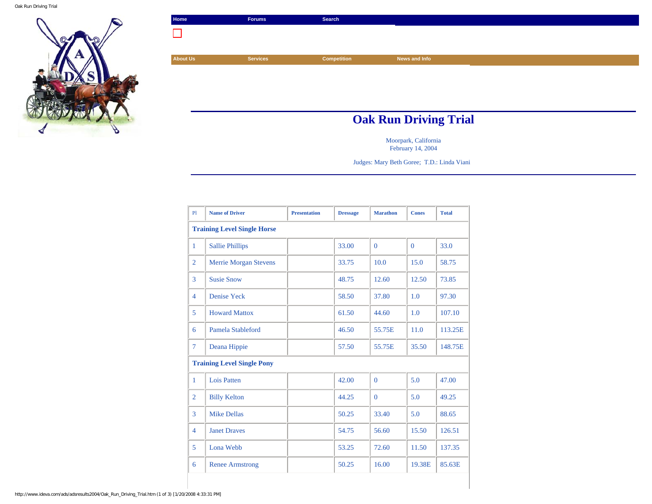

| Home                         | <b>Forums</b>   | Search             |               |  |
|------------------------------|-----------------|--------------------|---------------|--|
|                              |                 |                    |               |  |
|                              |                 |                    |               |  |
| <b>About Us</b>              | <b>Services</b> | <b>Competition</b> | News and Info |  |
|                              |                 |                    |               |  |
|                              |                 |                    |               |  |
|                              |                 |                    |               |  |
|                              |                 |                    |               |  |
| <b>Oak Run Driving Trial</b> |                 |                    |               |  |

Moorpark, California February 14, 2004

Judges: Mary Beth Goree; T.D.: Linda Viani

| PI             | <b>Name of Driver</b>              | <b>Presentation</b> | <b>Dressage</b> | <b>Marathon</b> | <b>Cones</b> | <b>Total</b> |  |
|----------------|------------------------------------|---------------------|-----------------|-----------------|--------------|--------------|--|
|                | <b>Training Level Single Horse</b> |                     |                 |                 |              |              |  |
| 1              | <b>Sallie Phillips</b>             |                     | 33.00           | $\Omega$        | $\Omega$     | 33.0         |  |
| $\overline{2}$ | <b>Merrie Morgan Stevens</b>       |                     | 33.75           | 10.0            | 15.0         | 58.75        |  |
| 3              | <b>Susie Snow</b>                  |                     | 48.75           | 12.60           | 12.50        | 73.85        |  |
| $\overline{4}$ | <b>Denise Yeck</b>                 |                     | 58.50           | 37.80           | 1.0          | 97.30        |  |
| 5              | <b>Howard Mattox</b>               |                     | 61.50           | 44.60           | 1.0          | 107.10       |  |
| 6              | Pamela Stableford                  |                     | 46.50           | 55.75E          | 11.0         | 113.25E      |  |
| 7              | Deana Hippie                       |                     | 57.50           | 55.75E          | 35.50        | 148.75E      |  |
|                | <b>Training Level Single Pony</b>  |                     |                 |                 |              |              |  |
| $\mathbf{1}$   | Lois Patten                        |                     | 42.00           | $\Omega$        | 5.0          | 47.00        |  |
| $\overline{2}$ | <b>Billy Kelton</b>                |                     | 44.25           | $\overline{0}$  | 5.0          | 49.25        |  |
| 3              | <b>Mike Dellas</b>                 |                     | 50.25           | 33.40           | 5.0          | 88.65        |  |
| $\overline{4}$ | <b>Janet Draves</b>                |                     | 54.75           | 56.60           | 15.50        | 126.51       |  |
| 5              | Lona Webb                          |                     | 53.25           | 72.60           | 11.50        | 137.35       |  |
| 6              | <b>Renee Armstrong</b>             |                     | 50.25           | 16.00           | 19.38E       | 85.63E       |  |

http://www.ideva.com/ads/adsresults2004/Oak\_Run\_Driving\_Trial.htm (1 of 3) [1/20/2008 4:33:31 PM]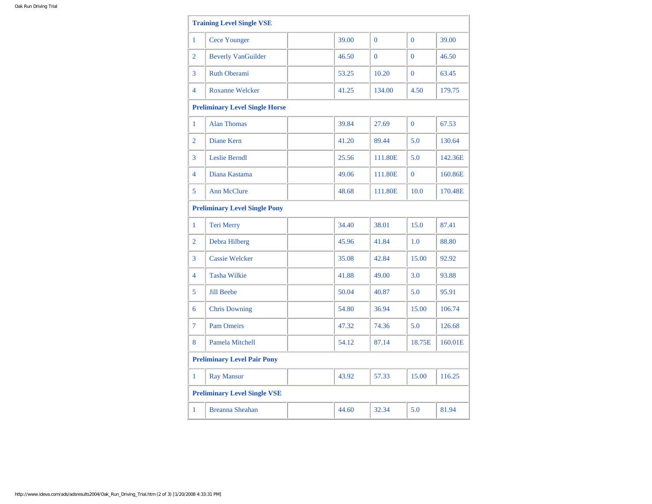|                | <b>Training Level Single VSE</b>      |  |       |                |                |         |
|----------------|---------------------------------------|--|-------|----------------|----------------|---------|
| $\mathbf{1}$   | <b>Cece Younger</b>                   |  | 39.00 | $\Omega$       | $\Omega$       | 39.00   |
| 2              | <b>Beverly VanGuilder</b>             |  | 46.50 | $\overline{0}$ | $\Omega$       | 46.50   |
| 3              | <b>Ruth Oberami</b>                   |  | 53.25 | 10.20          | $\mathbf{0}$   | 63.45   |
| $\overline{4}$ | <b>Roxanne Welcker</b>                |  | 41.25 | 134.00         | 4.50           | 179.75  |
|                | <b>Preliminary Level Single Horse</b> |  |       |                |                |         |
| $\mathbf{1}$   | <b>Alan Thomas</b>                    |  | 39.84 | 27.69          | $\overline{0}$ | 67.53   |
| $\overline{2}$ | Diane Kern                            |  | 41.20 | 89.44          | 5.0            | 130.64  |
| 3              | <b>Leslie Berndl</b>                  |  | 25.56 | 111.80E        | 5.0            | 142.36E |
| $\overline{4}$ | Diana Kastama                         |  | 49.06 | 111.80E        | $\overline{0}$ | 160.86E |
| 5              | <b>Ann McClure</b>                    |  | 48.68 | 111.80E        | 10.0           | 170.48E |
|                | <b>Preliminary Level Single Pony</b>  |  |       |                |                |         |
| $\mathbf{1}$   | Teri Merry                            |  | 34.40 | 38.01          | 15.0           | 87.41   |
| $\overline{2}$ | Debra Hilberg                         |  | 45.96 | 41.84          | 1.0            | 88.80   |
| 3              | <b>Cassie Welcker</b>                 |  | 35.08 | 42.84          | 15.00          | 92.92   |
| $\overline{4}$ | <b>Tasha Wilkie</b>                   |  | 41.88 | 49.00          | 3.0            | 93.88   |
| 5              | <b>Jill Beebe</b>                     |  | 50.04 | 40.87          | 5.0            | 95.91   |
| 6              | <b>Chris Downing</b>                  |  | 54.80 | 36.94          | 15.00          | 106.74  |
| $\overline{7}$ | <b>Pam Omeirs</b>                     |  | 47.32 | 74.36          | 5.0            | 126.68  |
| 8              | <b>Pamela Mitchell</b>                |  | 54.12 | 87.14          | 18.75E         | 160.01E |
|                | <b>Preliminary Level Pair Pony</b>    |  |       |                |                |         |
| $\mathbf{1}$   | <b>Ray Mansur</b>                     |  | 43.92 | 57.33          | 15.00          | 116.25  |
|                | <b>Preliminary Level Single VSE</b>   |  |       |                |                |         |
| 1              | <b>Breanna Sheahan</b>                |  | 44.60 | 32.34          | 5.0            | 81.94   |